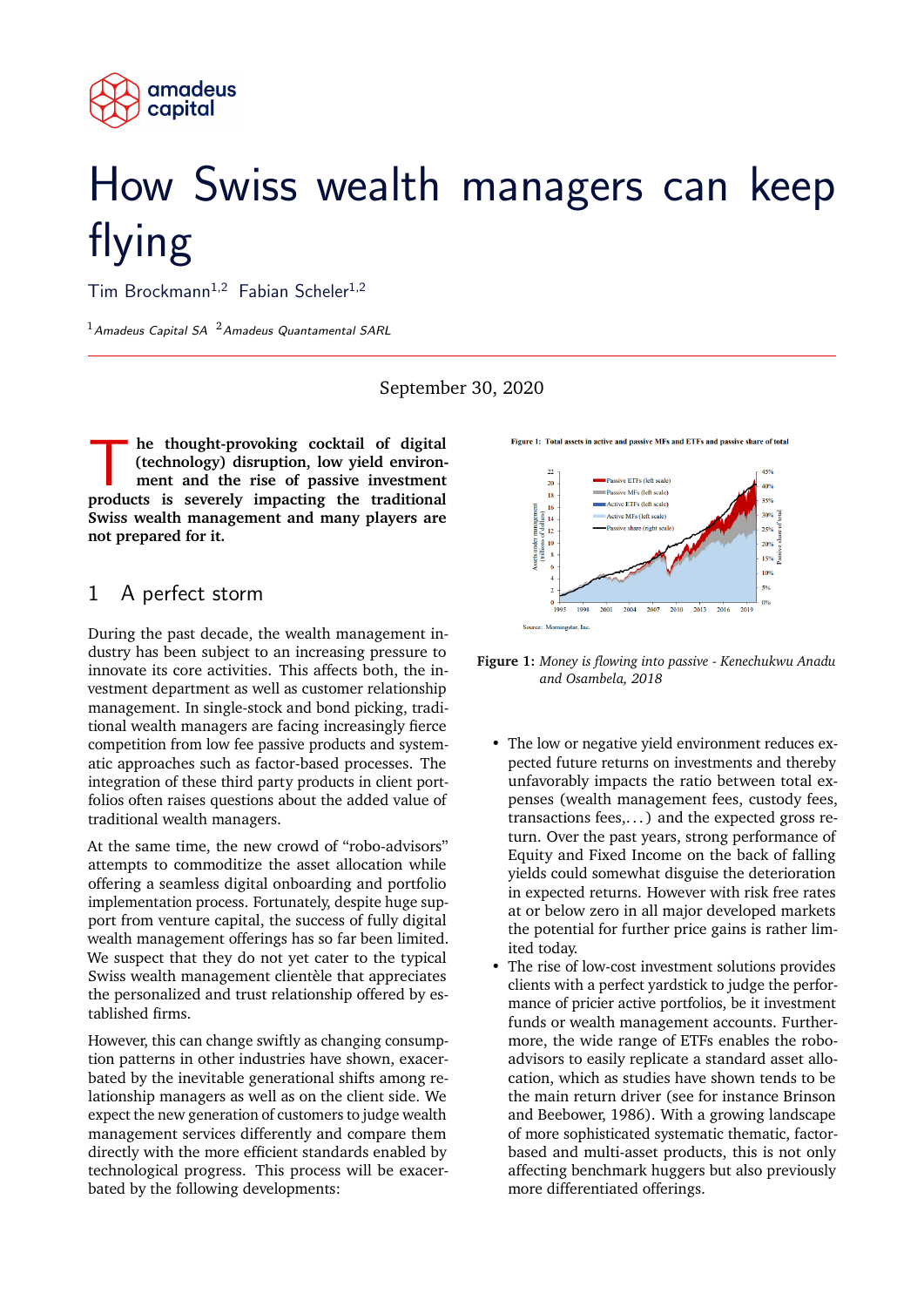

# How Swiss wealth managers can keep flying

Tim Brockmann<sup>1,2</sup> Fabian Scheler<sup>1,2</sup>

 $1$ Amadeus Capital SA  $2$ Amadeus Quantamental SARL

September 30, 2020

**he thought-provoking cocktail of digital** (technology) disruption, low yield environment and the rise of passive investment products is severely impacting the traditional **he thought-provoking cocktail of digital (technology) disruption, low yield environment and the rise of passive investment Swiss wealth management and many players are not prepared for it.**

#### 1 A perfect storm

During the past decade, the wealth management industry has been subject to an increasing pressure to innovate its core activities. This affects both, the investment department as well as customer relationship management. In single-stock and bond picking, traditional wealth managers are facing increasingly fierce competition from low fee passive products and systematic approaches such as factor-based processes. The integration of these third party products in client portfolios often raises questions about the added value of traditional wealth managers.

At the same time, the new crowd of "robo-advisors" attempts to commoditize the asset allocation while offering a seamless digital onboarding and portfolio implementation process. Fortunately, despite huge support from venture capital, the success of fully digital wealth management offerings has so far been limited. We suspect that they do not yet cater to the typical Swiss wealth management clientèle that appreciates the personalized and trust relationship offered by established firms.

However, this can change swiftly as changing consumption patterns in other industries have shown, exacerbated by the inevitable generational shifts among relationship managers as well as on the client side. We expect the new generation of customers to judge wealth management services differently and compare them directly with the more efficient standards enabled by technological progress. This process will be exacerbated by the following developments:



**Figure 1:** *Money is flowing into passive - Kenechukwu Anadu and Osambela, 2018*

- The low or negative yield environment reduces expected future returns on investments and thereby unfavorably impacts the ratio between total expenses (wealth management fees, custody fees, transactions fees,... ) and the expected gross return. Over the past years, strong performance of Equity and Fixed Income on the back of falling yields could somewhat disguise the deterioration in expected returns. However with risk free rates at or below zero in all major developed markets the potential for further price gains is rather limited today.
- The rise of low-cost investment solutions provides clients with a perfect yardstick to judge the performance of pricier active portfolios, be it investment funds or wealth management accounts. Furthermore, the wide range of ETFs enables the roboadvisors to easily replicate a standard asset allocation, which as studies have shown tends to be the main return driver (see for instance Brinson and Beebower, 1986). With a growing landscape of more sophisticated systematic thematic, factorbased and multi-asset products, this is not only affecting benchmark huggers but also previously more differentiated offerings.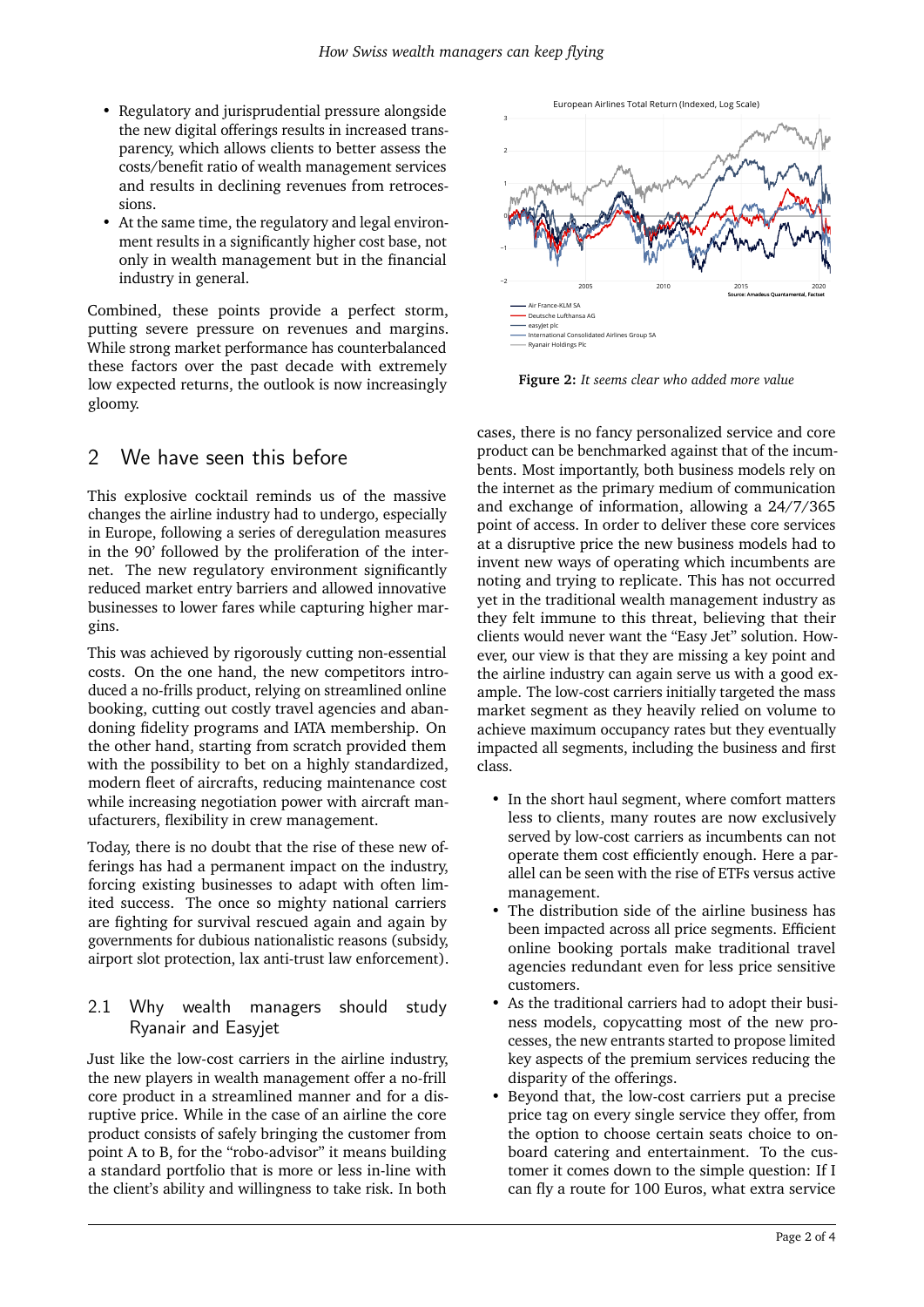- Regulatory and jurisprudential pressure alongside the new digital offerings results in increased transparency, which allows clients to better assess the costs/benefit ratio of wealth management services and results in declining revenues from retrocessions.
- At the same time, the regulatory and legal environment results in a significantly higher cost base, not only in wealth management but in the financial industry in general.

Combined, these points provide a perfect storm, putting severe pressure on revenues and margins. While strong market performance has counterbalanced these factors over the past decade with extremely low expected returns, the outlook is now increasingly gloomy.

### 2 We have seen this before

This explosive cocktail reminds us of the massive changes the airline industry had to undergo, especially in Europe, following a series of deregulation measures in the 90' followed by the proliferation of the internet. The new regulatory environment significantly reduced market entry barriers and allowed innovative businesses to lower fares while capturing higher margins.

This was achieved by rigorously cutting non-essential costs. On the one hand, the new competitors introduced a no-frills product, relying on streamlined online booking, cutting out costly travel agencies and abandoning fidelity programs and IATA membership. On the other hand, starting from scratch provided them with the possibility to bet on a highly standardized, modern fleet of aircrafts, reducing maintenance cost while increasing negotiation power with aircraft manufacturers, flexibility in crew management.

Today, there is no doubt that the rise of these new offerings has had a permanent impact on the industry, forcing existing businesses to adapt with often limited success. The once so mighty national carriers are fighting for survival rescued again and again by governments for dubious nationalistic reasons (subsidy, airport slot protection, lax anti-trust law enforcement).

#### 2.1 Why wealth managers should study Ryanair and Easyjet

Just like the low-cost carriers in the airline industry, the new players in wealth management offer a no-frill core product in a streamlined manner and for a disruptive price. While in the case of an airline the core product consists of safely bringing the customer from point A to B, for the "robo-advisor" it means building a standard portfolio that is more or less in-line with the client's ability and willingness to take risk. In both



**Figure 2:** *It seems clear who added more value*

cases, there is no fancy personalized service and core product can be benchmarked against that of the incumbents. Most importantly, both business models rely on the internet as the primary medium of communication and exchange of information, allowing a 24/7/365 point of access. In order to deliver these core services at a disruptive price the new business models had to invent new ways of operating which incumbents are noting and trying to replicate. This has not occurred yet in the traditional wealth management industry as they felt immune to this threat, believing that their clients would never want the "Easy Jet" solution. However, our view is that they are missing a key point and the airline industry can again serve us with a good example. The low-cost carriers initially targeted the mass market segment as they heavily relied on volume to achieve maximum occupancy rates but they eventually impacted all segments, including the business and first class.

- In the short haul segment, where comfort matters less to clients, many routes are now exclusively served by low-cost carriers as incumbents can not operate them cost efficiently enough. Here a parallel can be seen with the rise of ETFs versus active management.
- The distribution side of the airline business has been impacted across all price segments. Efficient online booking portals make traditional travel agencies redundant even for less price sensitive customers.
- As the traditional carriers had to adopt their business models, copycatting most of the new processes, the new entrants started to propose limited key aspects of the premium services reducing the disparity of the offerings.
- Beyond that, the low-cost carriers put a precise price tag on every single service they offer, from the option to choose certain seats choice to onboard catering and entertainment. To the customer it comes down to the simple question: If I can fly a route for 100 Euros, what extra service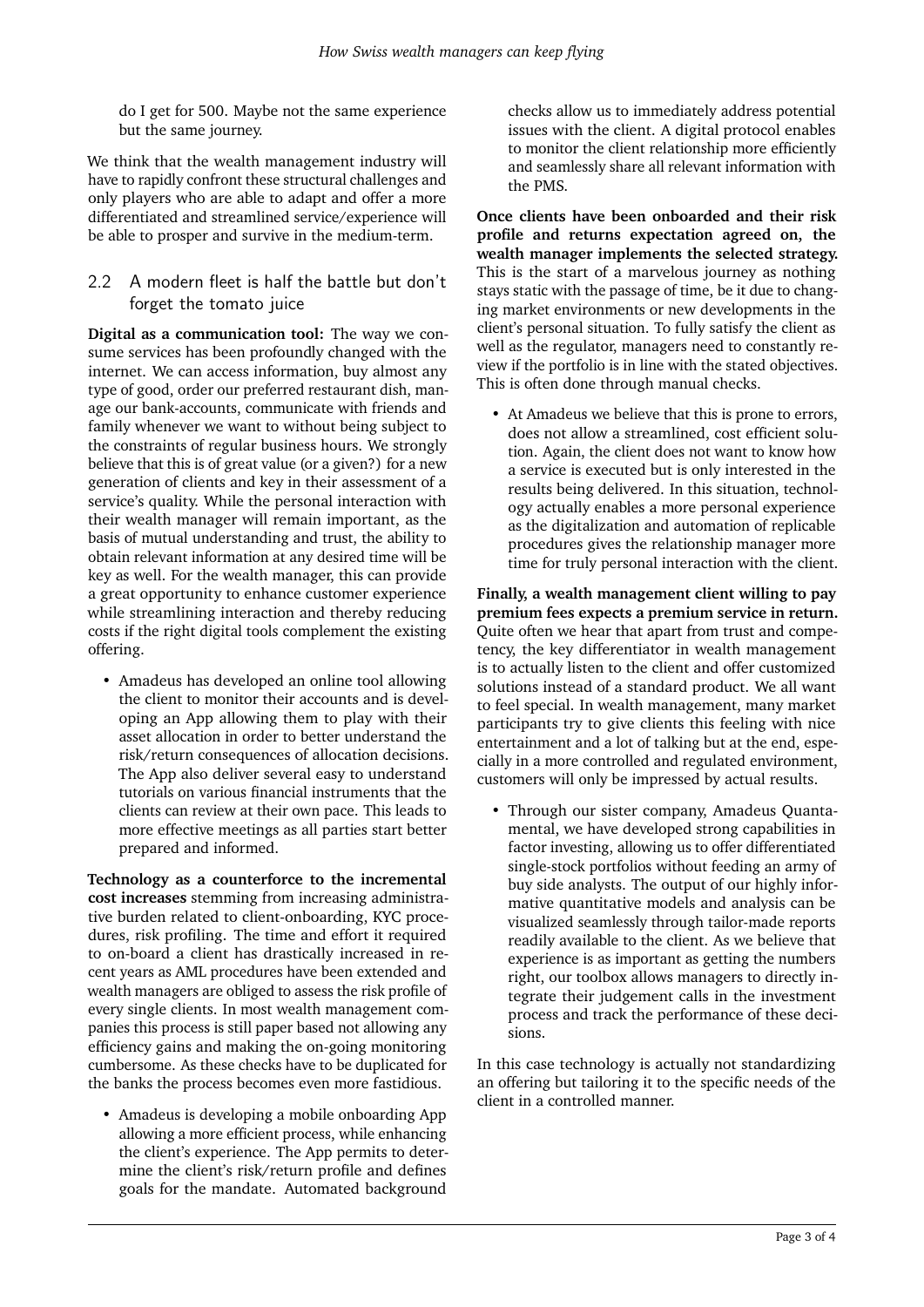do I get for 500. Maybe not the same experience but the same journey.

We think that the wealth management industry will have to rapidly confront these structural challenges and only players who are able to adapt and offer a more differentiated and streamlined service/experience will be able to prosper and survive in the medium-term.

#### 2.2 A modern fleet is half the battle but don't forget the tomato juice

**Digital as a communication tool:** The way we consume services has been profoundly changed with the internet. We can access information, buy almost any type of good, order our preferred restaurant dish, manage our bank-accounts, communicate with friends and family whenever we want to without being subject to the constraints of regular business hours. We strongly believe that this is of great value (or a given?) for a new generation of clients and key in their assessment of a service's quality. While the personal interaction with their wealth manager will remain important, as the basis of mutual understanding and trust, the ability to obtain relevant information at any desired time will be key as well. For the wealth manager, this can provide a great opportunity to enhance customer experience while streamlining interaction and thereby reducing costs if the right digital tools complement the existing offering.

• Amadeus has developed an online tool allowing the client to monitor their accounts and is developing an App allowing them to play with their asset allocation in order to better understand the risk/return consequences of allocation decisions. The App also deliver several easy to understand tutorials on various financial instruments that the clients can review at their own pace. This leads to more effective meetings as all parties start better prepared and informed.

**Technology as a counterforce to the incremental cost increases** stemming from increasing administrative burden related to client-onboarding, KYC procedures, risk profiling. The time and effort it required to on-board a client has drastically increased in recent years as AML procedures have been extended and wealth managers are obliged to assess the risk profile of every single clients. In most wealth management companies this process is still paper based not allowing any efficiency gains and making the on-going monitoring cumbersome. As these checks have to be duplicated for the banks the process becomes even more fastidious.

• Amadeus is developing a mobile onboarding App allowing a more efficient process, while enhancing the client's experience. The App permits to determine the client's risk/return profile and defines goals for the mandate. Automated background

checks allow us to immediately address potential issues with the client. A digital protocol enables to monitor the client relationship more efficiently and seamlessly share all relevant information with the PMS.

**Once clients have been onboarded and their risk profile and returns expectation agreed on, the wealth manager implements the selected strategy.** This is the start of a marvelous journey as nothing stays static with the passage of time, be it due to changing market environments or new developments in the client's personal situation. To fully satisfy the client as well as the regulator, managers need to constantly review if the portfolio is in line with the stated objectives. This is often done through manual checks.

• At Amadeus we believe that this is prone to errors, does not allow a streamlined, cost efficient solution. Again, the client does not want to know how a service is executed but is only interested in the results being delivered. In this situation, technology actually enables a more personal experience as the digitalization and automation of replicable procedures gives the relationship manager more time for truly personal interaction with the client.

**Finally, a wealth management client willing to pay premium fees expects a premium service in return.** Quite often we hear that apart from trust and competency, the key differentiator in wealth management is to actually listen to the client and offer customized solutions instead of a standard product. We all want to feel special. In wealth management, many market participants try to give clients this feeling with nice entertainment and a lot of talking but at the end, especially in a more controlled and regulated environment, customers will only be impressed by actual results.

• Through our sister company, Amadeus Quantamental, we have developed strong capabilities in factor investing, allowing us to offer differentiated single-stock portfolios without feeding an army of buy side analysts. The output of our highly informative quantitative models and analysis can be visualized seamlessly through tailor-made reports readily available to the client. As we believe that experience is as important as getting the numbers right, our toolbox allows managers to directly integrate their judgement calls in the investment process and track the performance of these decisions.

In this case technology is actually not standardizing an offering but tailoring it to the specific needs of the client in a controlled manner.